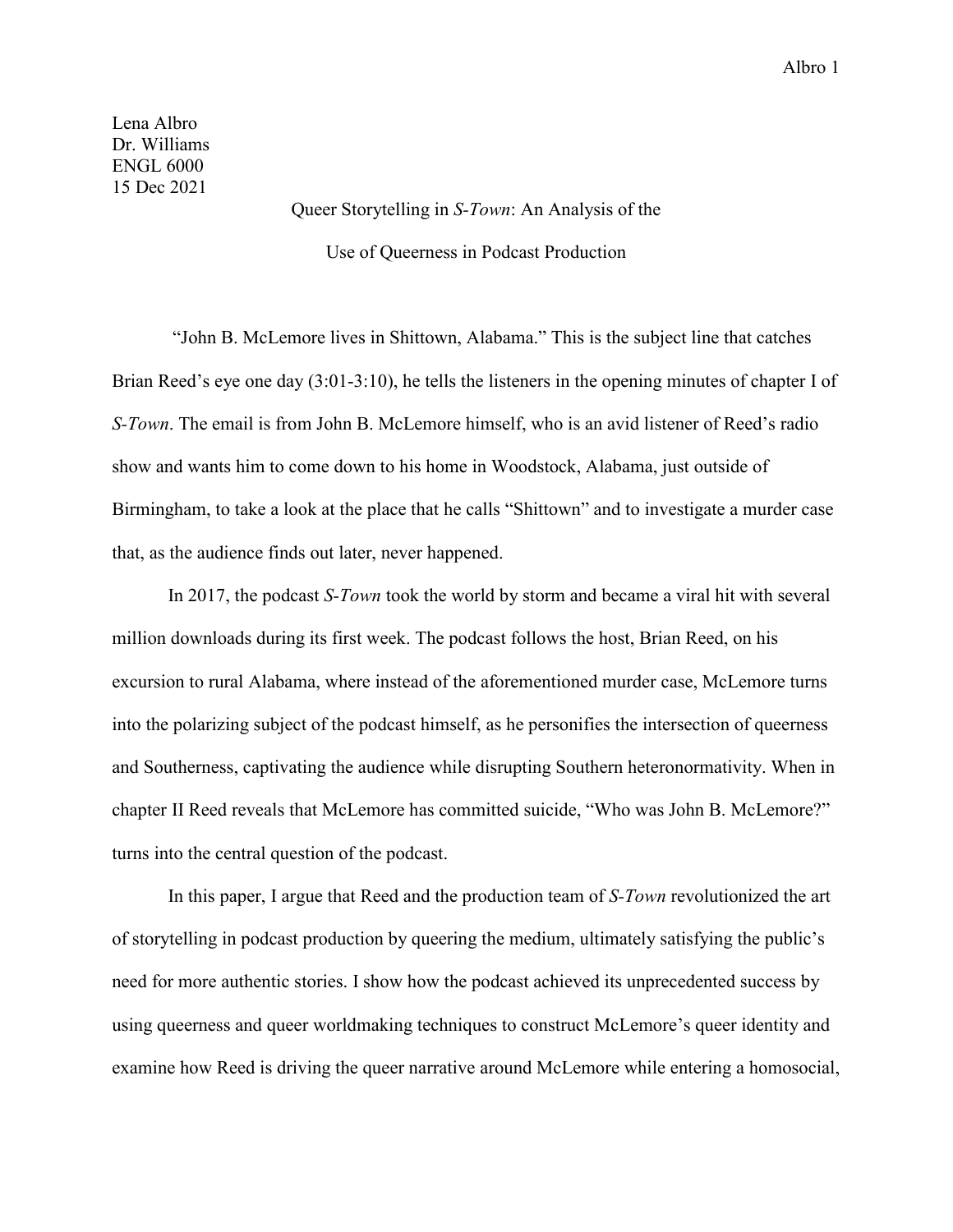Lena Albro Dr. Williams ENGL 6000 15 Dec 2021

> Queer Storytelling in *S-Town*: An Analysis of the Use of Queerness in Podcast Production

"John B. McLemore lives in Shittown, Alabama." This is the subject line that catches Brian Reed's eye one day (3:01-3:10), he tells the listeners in the opening minutes of chapter I of *S-Town*. The email is from John B. McLemore himself, who is an avid listener of Reed's radio show and wants him to come down to his home in Woodstock, Alabama, just outside of Birmingham, to take a look at the place that he calls "Shittown" and to investigate a murder case that, as the audience finds out later, never happened.

In 2017, the podcast *S-Town* took the world by storm and became a viral hit with several million downloads during its first week. The podcast follows the host, Brian Reed, on his excursion to rural Alabama, where instead of the aforementioned murder case, McLemore turns into the polarizing subject of the podcast himself, as he personifies the intersection of queerness and Southerness, captivating the audience while disrupting Southern heteronormativity. When in chapter II Reed reveals that McLemore has committed suicide, "Who was John B. McLemore?" turns into the central question of the podcast.

In this paper, I argue that Reed and the production team of *S-Town* revolutionized the art of storytelling in podcast production by queering the medium, ultimately satisfying the public's need for more authentic stories. I show how the podcast achieved its unprecedented success by using queerness and queer worldmaking techniques to construct McLemore's queer identity and examine how Reed is driving the queer narrative around McLemore while entering a homosocial,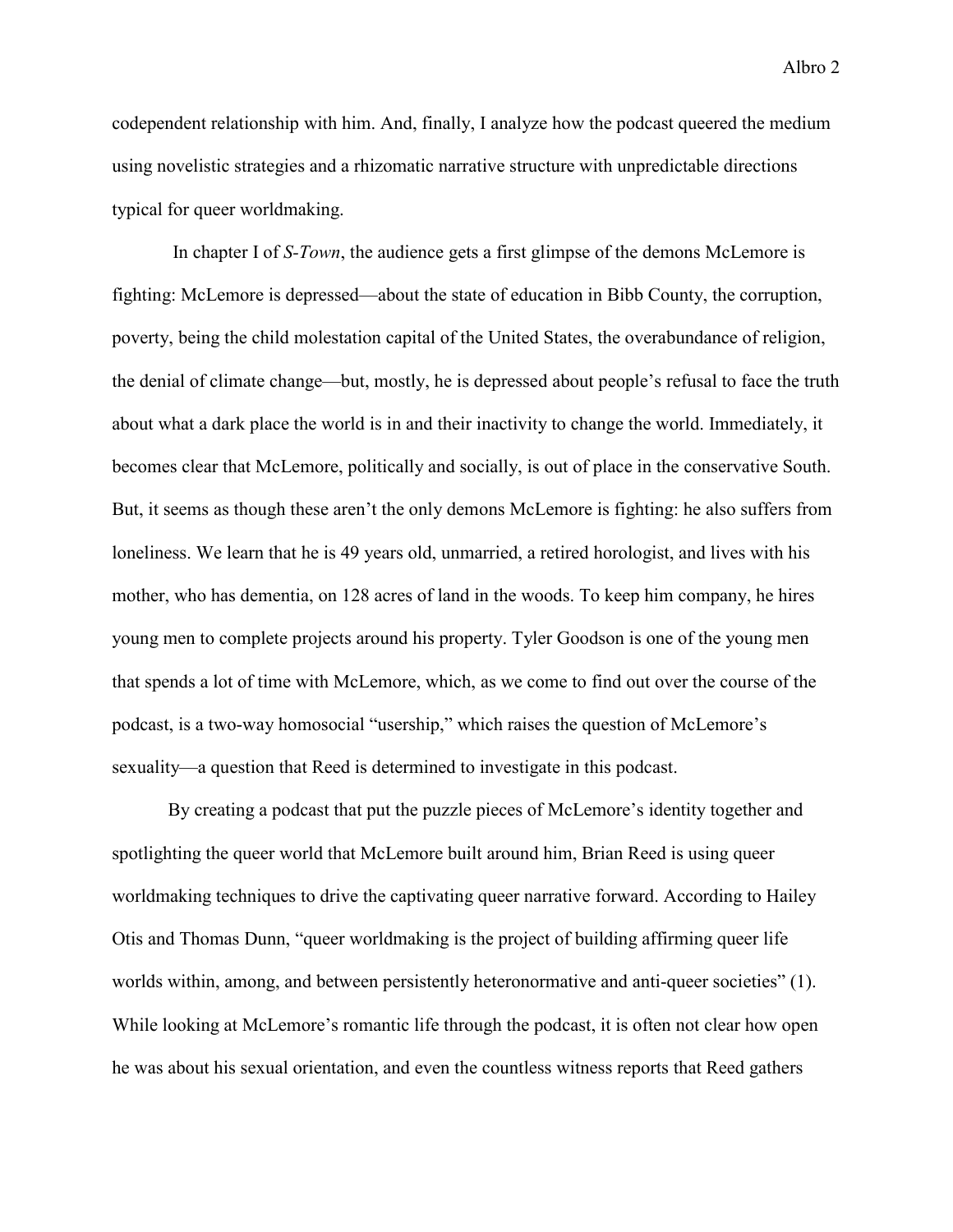codependent relationship with him. And, finally, I analyze how the podcast queered the medium using novelistic strategies and a rhizomatic narrative structure with unpredictable directions typical for queer worldmaking.

In chapter I of *S-Town*, the audience gets a first glimpse of the demons McLemore is fighting: McLemore is depressed—about the state of education in Bibb County, the corruption, poverty, being the child molestation capital of the United States, the overabundance of religion, the denial of climate change—but, mostly, he is depressed about people's refusal to face the truth about what a dark place the world is in and their inactivity to change the world. Immediately, it becomes clear that McLemore, politically and socially, is out of place in the conservative South. But, it seems as though these aren't the only demons McLemore is fighting: he also suffers from loneliness. We learn that he is 49 years old, unmarried, a retired horologist, and lives with his mother, who has dementia, on 128 acres of land in the woods. To keep him company, he hires young men to complete projects around his property. Tyler Goodson is one of the young men that spends a lot of time with McLemore, which, as we come to find out over the course of the podcast, is a two-way homosocial "usership," which raises the question of McLemore's sexuality—a question that Reed is determined to investigate in this podcast.

By creating a podcast that put the puzzle pieces of McLemore's identity together and spotlighting the queer world that McLemore built around him, Brian Reed is using queer worldmaking techniques to drive the captivating queer narrative forward. According to Hailey Otis and Thomas Dunn, "queer worldmaking is the project of building affirming queer life worlds within, among, and between persistently heteronormative and anti-queer societies" (1). While looking at McLemore's romantic life through the podcast, it is often not clear how open he was about his sexual orientation, and even the countless witness reports that Reed gathers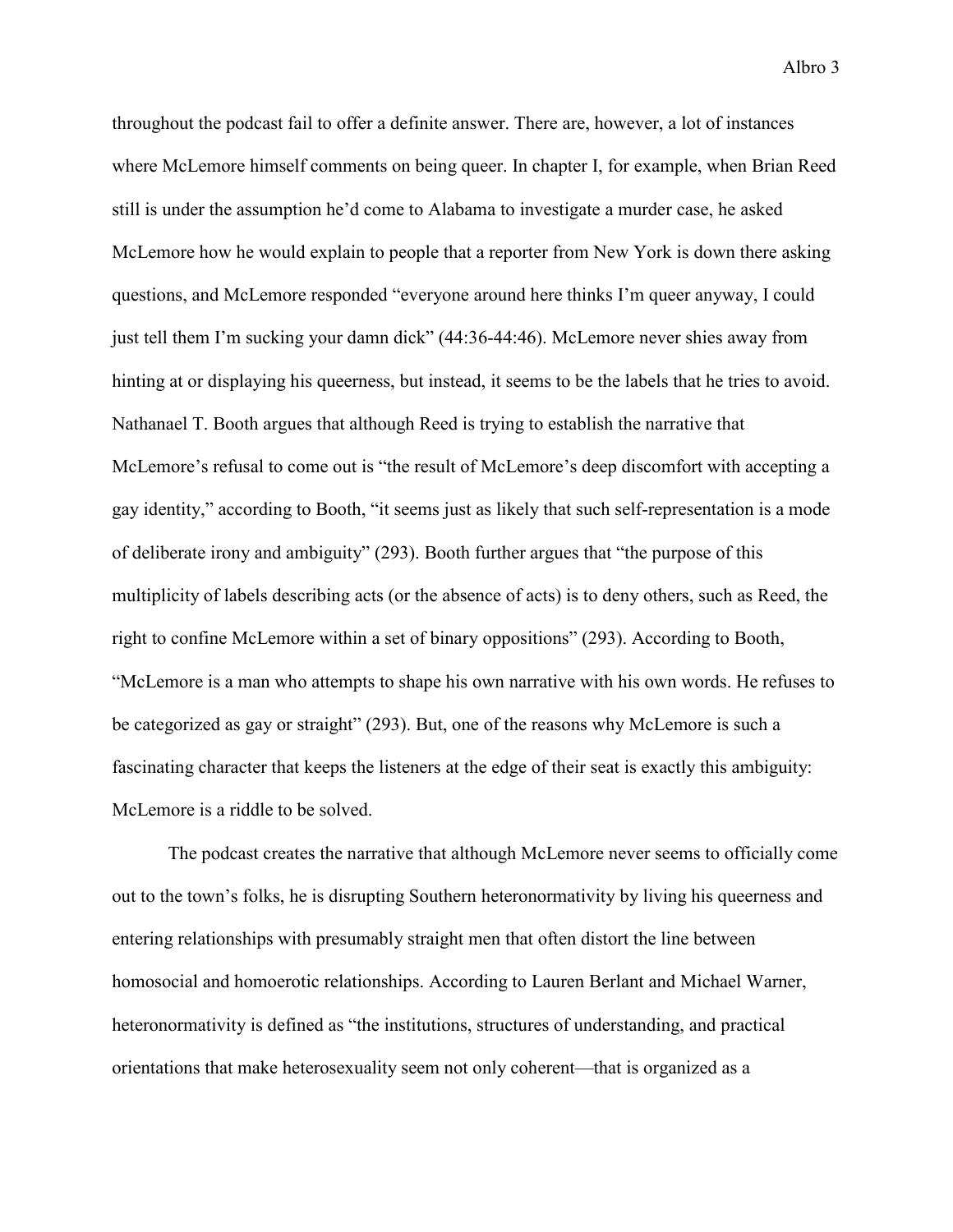throughout the podcast fail to offer a definite answer. There are, however, a lot of instances where McLemore himself comments on being queer. In chapter I, for example, when Brian Reed still is under the assumption he'd come to Alabama to investigate a murder case, he asked McLemore how he would explain to people that a reporter from New York is down there asking questions, and McLemore responded "everyone around here thinks I'm queer anyway, I could just tell them I'm sucking your damn dick" (44:36-44:46). McLemore never shies away from hinting at or displaying his queerness, but instead, it seems to be the labels that he tries to avoid. Nathanael T. Booth argues that although Reed is trying to establish the narrative that McLemore's refusal to come out is "the result of McLemore's deep discomfort with accepting a gay identity," according to Booth, "it seems just as likely that such self-representation is a mode of deliberate irony and ambiguity" (293). Booth further argues that "the purpose of this multiplicity of labels describing acts (or the absence of acts) is to deny others, such as Reed, the right to confine McLemore within a set of binary oppositions" (293). According to Booth, "McLemore is a man who attempts to shape his own narrative with his own words. He refuses to be categorized as gay or straight" (293). But, one of the reasons why McLemore is such a fascinating character that keeps the listeners at the edge of their seat is exactly this ambiguity: McLemore is a riddle to be solved.

The podcast creates the narrative that although McLemore never seems to officially come out to the town's folks, he is disrupting Southern heteronormativity by living his queerness and entering relationships with presumably straight men that often distort the line between homosocial and homoerotic relationships. According to Lauren Berlant and Michael Warner, heteronormativity is defined as "the institutions, structures of understanding, and practical orientations that make heterosexuality seem not only coherent—that is organized as a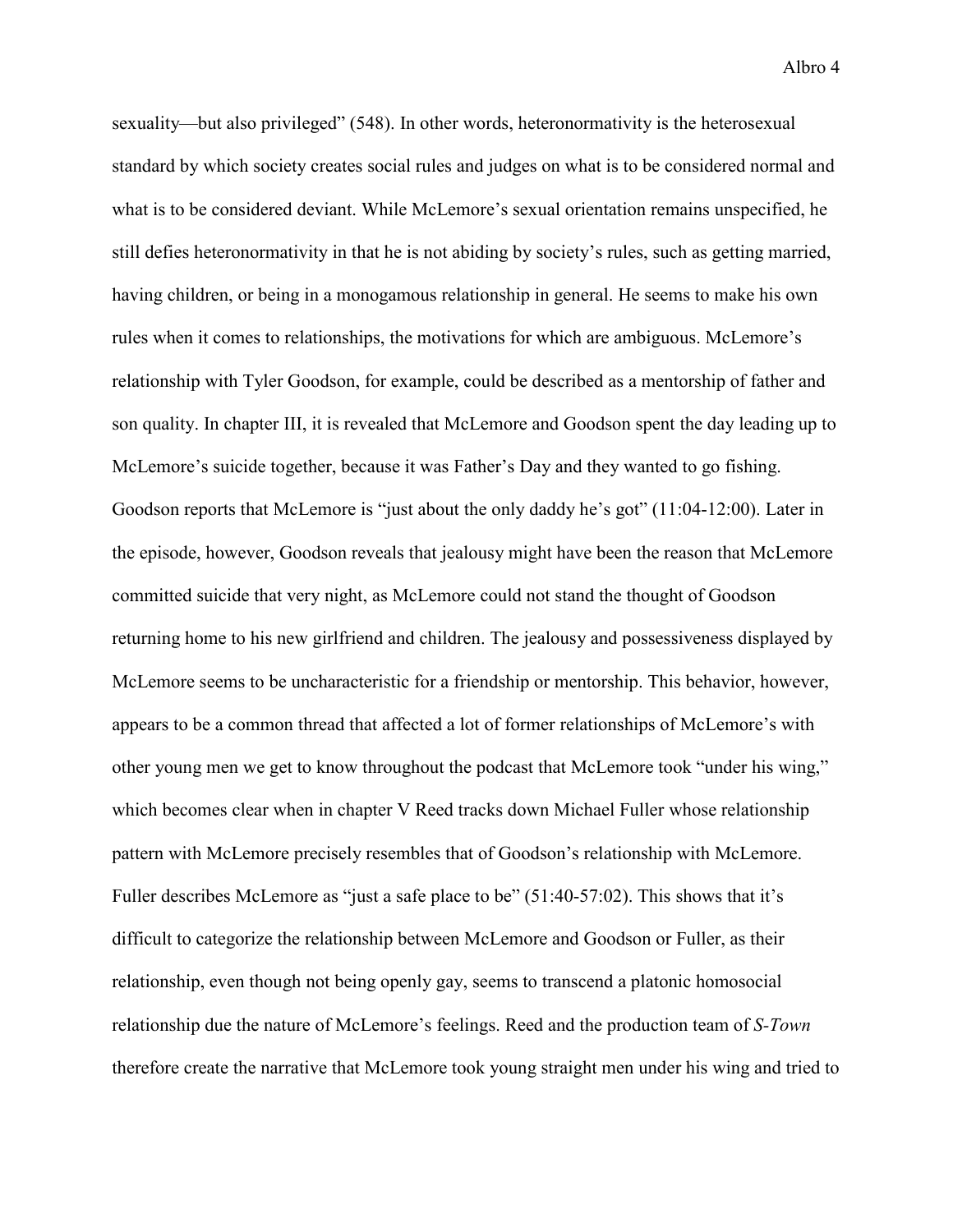Albro 4

sexuality—but also privileged" (548). In other words, heteronormativity is the heterosexual standard by which society creates social rules and judges on what is to be considered normal and what is to be considered deviant. While McLemore's sexual orientation remains unspecified, he still defies heteronormativity in that he is not abiding by society's rules, such as getting married, having children, or being in a monogamous relationship in general. He seems to make his own rules when it comes to relationships, the motivations for which are ambiguous. McLemore's relationship with Tyler Goodson, for example, could be described as a mentorship of father and son quality. In chapter III, it is revealed that McLemore and Goodson spent the day leading up to McLemore's suicide together, because it was Father's Day and they wanted to go fishing. Goodson reports that McLemore is "just about the only daddy he's got" (11:04-12:00). Later in the episode, however, Goodson reveals that jealousy might have been the reason that McLemore committed suicide that very night, as McLemore could not stand the thought of Goodson returning home to his new girlfriend and children. The jealousy and possessiveness displayed by McLemore seems to be uncharacteristic for a friendship or mentorship. This behavior, however, appears to be a common thread that affected a lot of former relationships of McLemore's with other young men we get to know throughout the podcast that McLemore took "under his wing," which becomes clear when in chapter V Reed tracks down Michael Fuller whose relationship pattern with McLemore precisely resembles that of Goodson's relationship with McLemore. Fuller describes McLemore as "just a safe place to be" (51:40-57:02). This shows that it's difficult to categorize the relationship between McLemore and Goodson or Fuller, as their relationship, even though not being openly gay, seems to transcend a platonic homosocial relationship due the nature of McLemore's feelings. Reed and the production team of *S-Town* therefore create the narrative that McLemore took young straight men under his wing and tried to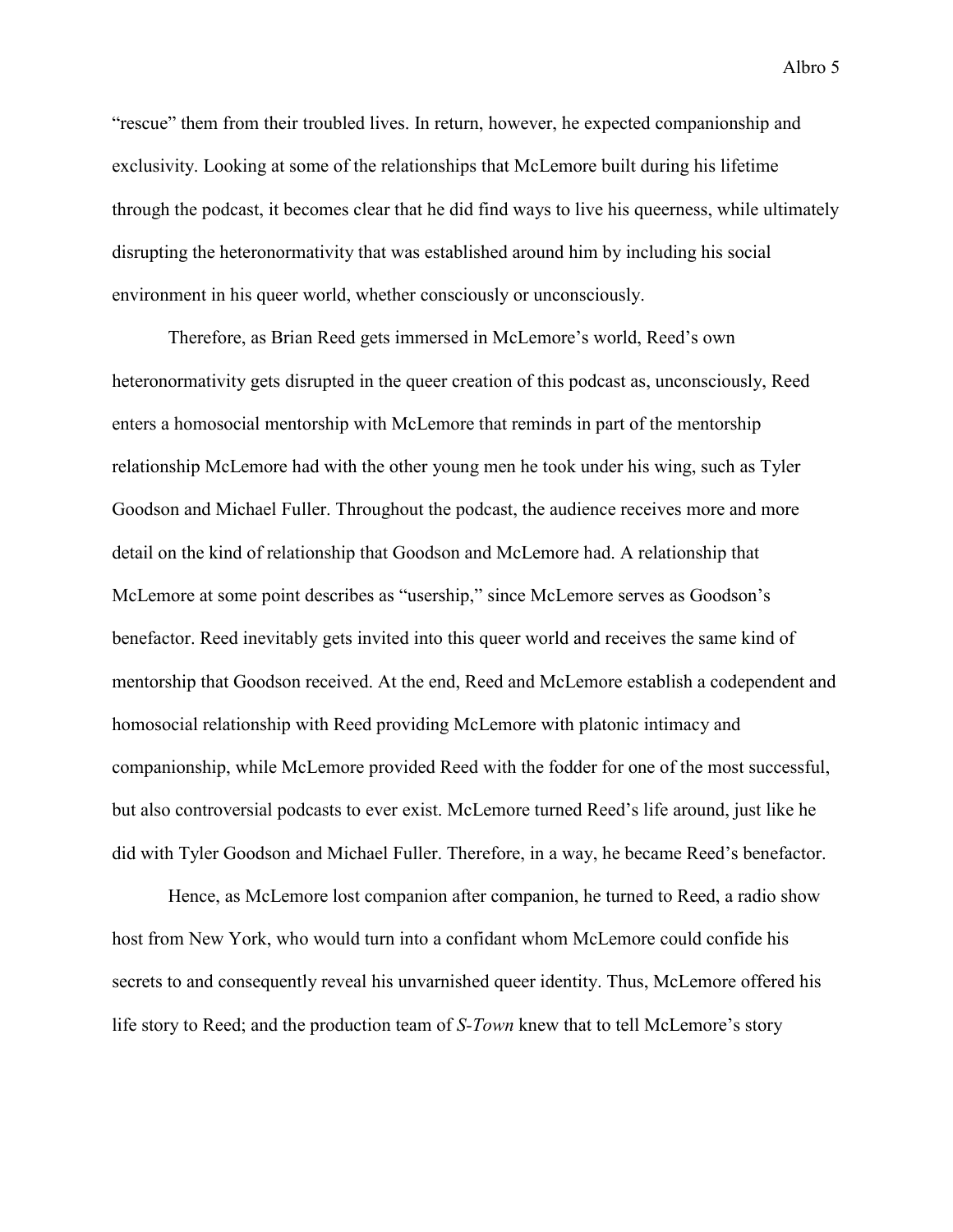"rescue" them from their troubled lives. In return, however, he expected companionship and exclusivity. Looking at some of the relationships that McLemore built during his lifetime through the podcast, it becomes clear that he did find ways to live his queerness, while ultimately disrupting the heteronormativity that was established around him by including his social environment in his queer world, whether consciously or unconsciously.

Therefore, as Brian Reed gets immersed in McLemore's world, Reed's own heteronormativity gets disrupted in the queer creation of this podcast as, unconsciously, Reed enters a homosocial mentorship with McLemore that reminds in part of the mentorship relationship McLemore had with the other young men he took under his wing, such as Tyler Goodson and Michael Fuller. Throughout the podcast, the audience receives more and more detail on the kind of relationship that Goodson and McLemore had. A relationship that McLemore at some point describes as "usership," since McLemore serves as Goodson's benefactor. Reed inevitably gets invited into this queer world and receives the same kind of mentorship that Goodson received. At the end, Reed and McLemore establish a codependent and homosocial relationship with Reed providing McLemore with platonic intimacy and companionship, while McLemore provided Reed with the fodder for one of the most successful, but also controversial podcasts to ever exist. McLemore turned Reed's life around, just like he did with Tyler Goodson and Michael Fuller. Therefore, in a way, he became Reed's benefactor.

Hence, as McLemore lost companion after companion, he turned to Reed, a radio show host from New York, who would turn into a confidant whom McLemore could confide his secrets to and consequently reveal his unvarnished queer identity. Thus, McLemore offered his life story to Reed; and the production team of *S-Town* knew that to tell McLemore's story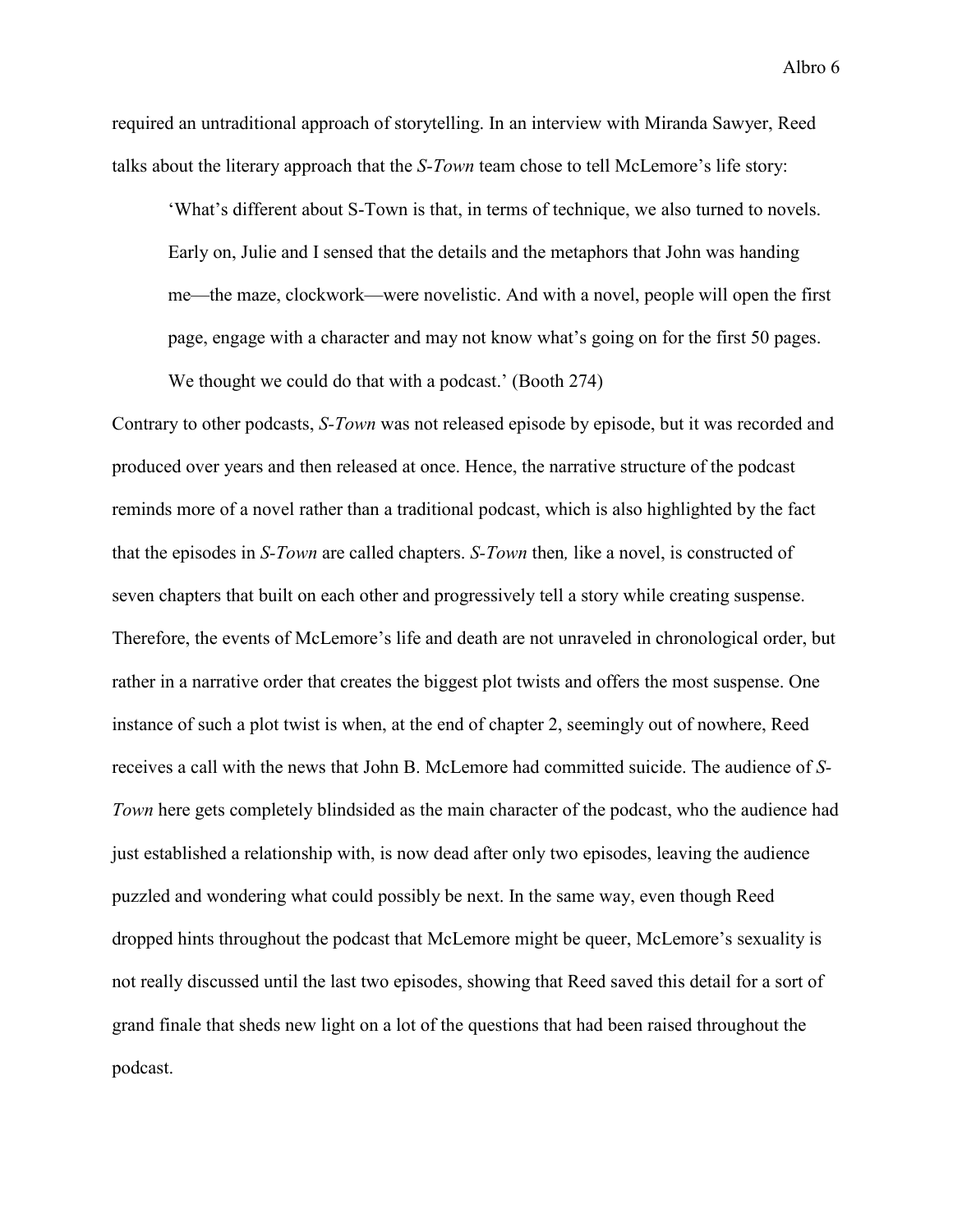required an untraditional approach of storytelling. In an interview with Miranda Sawyer, Reed talks about the literary approach that the *S-Town* team chose to tell McLemore's life story:

'What's different about S-Town is that, in terms of technique, we also turned to novels. Early on, Julie and I sensed that the details and the metaphors that John was handing me—the maze, clockwork—were novelistic. And with a novel, people will open the first page, engage with a character and may not know what's going on for the first 50 pages.

We thought we could do that with a podcast.' (Booth 274)

Contrary to other podcasts, *S-Town* was not released episode by episode, but it was recorded and produced over years and then released at once. Hence, the narrative structure of the podcast reminds more of a novel rather than a traditional podcast, which is also highlighted by the fact that the episodes in *S-Town* are called chapters. *S-Town* then*,* like a novel, is constructed of seven chapters that built on each other and progressively tell a story while creating suspense. Therefore, the events of McLemore's life and death are not unraveled in chronological order, but rather in a narrative order that creates the biggest plot twists and offers the most suspense. One instance of such a plot twist is when, at the end of chapter 2, seemingly out of nowhere, Reed receives a call with the news that John B. McLemore had committed suicide. The audience of *S-Town* here gets completely blindsided as the main character of the podcast, who the audience had just established a relationship with, is now dead after only two episodes, leaving the audience puzzled and wondering what could possibly be next. In the same way, even though Reed dropped hints throughout the podcast that McLemore might be queer, McLemore's sexuality is not really discussed until the last two episodes, showing that Reed saved this detail for a sort of grand finale that sheds new light on a lot of the questions that had been raised throughout the podcast.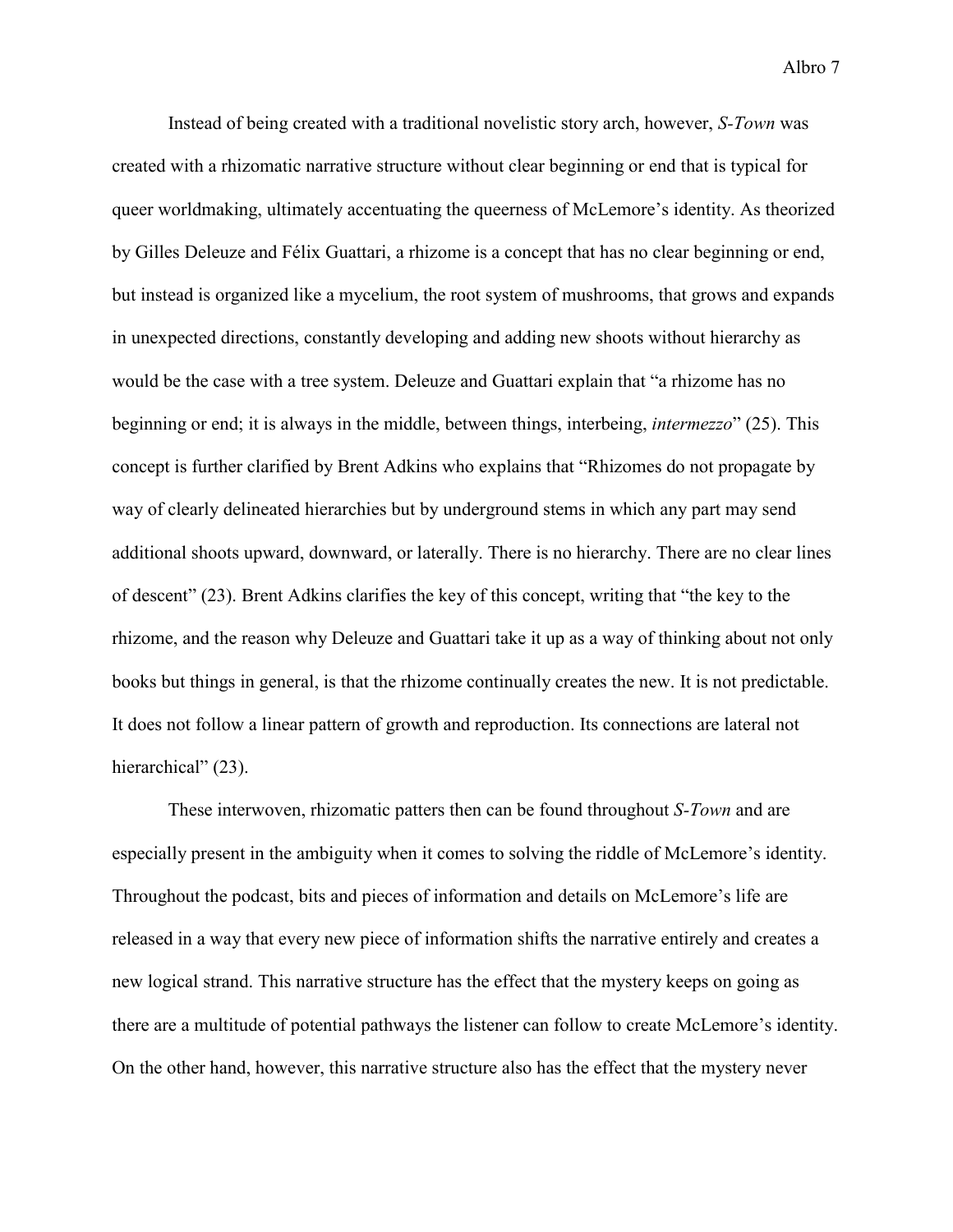Instead of being created with a traditional novelistic story arch, however, *S-Town* was created with a rhizomatic narrative structure without clear beginning or end that is typical for queer worldmaking, ultimately accentuating the queerness of McLemore's identity. As theorized by Gilles Deleuze and Félix Guattari, a rhizome is a concept that has no clear beginning or end, but instead is organized like a mycelium, the root system of mushrooms, that grows and expands in unexpected directions, constantly developing and adding new shoots without hierarchy as would be the case with a tree system. Deleuze and Guattari explain that "a rhizome has no beginning or end; it is always in the middle, between things, interbeing, *intermezzo*" (25). This concept is further clarified by Brent Adkins who explains that "Rhizomes do not propagate by way of clearly delineated hierarchies but by underground stems in which any part may send additional shoots upward, downward, or laterally. There is no hierarchy. There are no clear lines of descent" (23). Brent Adkins clarifies the key of this concept, writing that "the key to the rhizome, and the reason why Deleuze and Guattari take it up as a way of thinking about not only books but things in general, is that the rhizome continually creates the new. It is not predictable. It does not follow a linear pattern of growth and reproduction. Its connections are lateral not hierarchical" (23).

These interwoven, rhizomatic patters then can be found throughout *S-Town* and are especially present in the ambiguity when it comes to solving the riddle of McLemore's identity. Throughout the podcast, bits and pieces of information and details on McLemore's life are released in a way that every new piece of information shifts the narrative entirely and creates a new logical strand. This narrative structure has the effect that the mystery keeps on going as there are a multitude of potential pathways the listener can follow to create McLemore's identity. On the other hand, however, this narrative structure also has the effect that the mystery never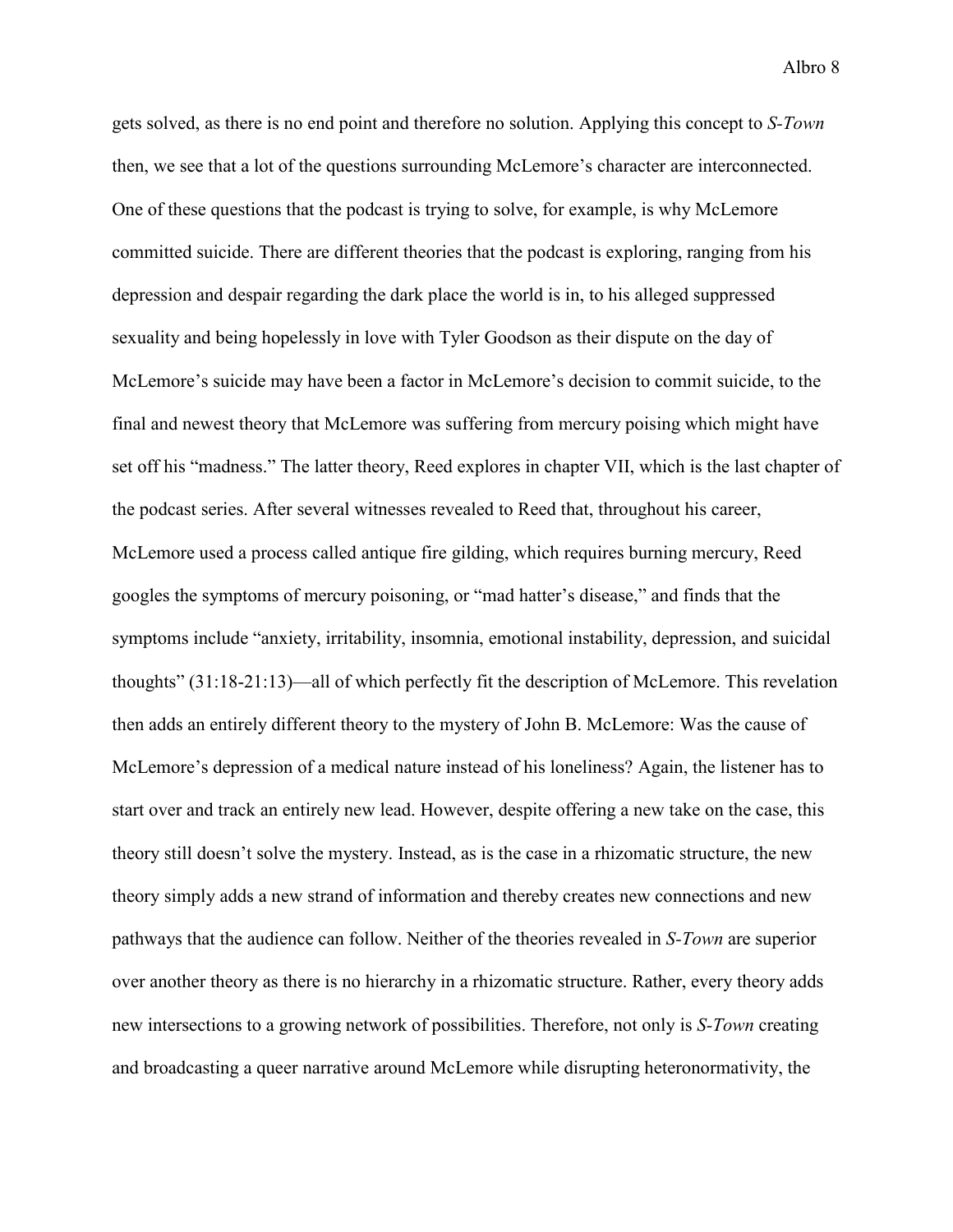gets solved, as there is no end point and therefore no solution. Applying this concept to *S-Town* then, we see that a lot of the questions surrounding McLemore's character are interconnected. One of these questions that the podcast is trying to solve, for example, is why McLemore committed suicide. There are different theories that the podcast is exploring, ranging from his depression and despair regarding the dark place the world is in, to his alleged suppressed sexuality and being hopelessly in love with Tyler Goodson as their dispute on the day of McLemore's suicide may have been a factor in McLemore's decision to commit suicide, to the final and newest theory that McLemore was suffering from mercury poising which might have set off his "madness." The latter theory, Reed explores in chapter VII, which is the last chapter of the podcast series. After several witnesses revealed to Reed that, throughout his career, McLemore used a process called antique fire gilding, which requires burning mercury, Reed googles the symptoms of mercury poisoning, or "mad hatter's disease," and finds that the symptoms include "anxiety, irritability, insomnia, emotional instability, depression, and suicidal thoughts" (31:18-21:13)—all of which perfectly fit the description of McLemore. This revelation then adds an entirely different theory to the mystery of John B. McLemore: Was the cause of McLemore's depression of a medical nature instead of his loneliness? Again, the listener has to start over and track an entirely new lead. However, despite offering a new take on the case, this theory still doesn't solve the mystery. Instead, as is the case in a rhizomatic structure, the new theory simply adds a new strand of information and thereby creates new connections and new pathways that the audience can follow. Neither of the theories revealed in *S-Town* are superior over another theory as there is no hierarchy in a rhizomatic structure. Rather, every theory adds new intersections to a growing network of possibilities. Therefore, not only is *S-Town* creating and broadcasting a queer narrative around McLemore while disrupting heteronormativity, the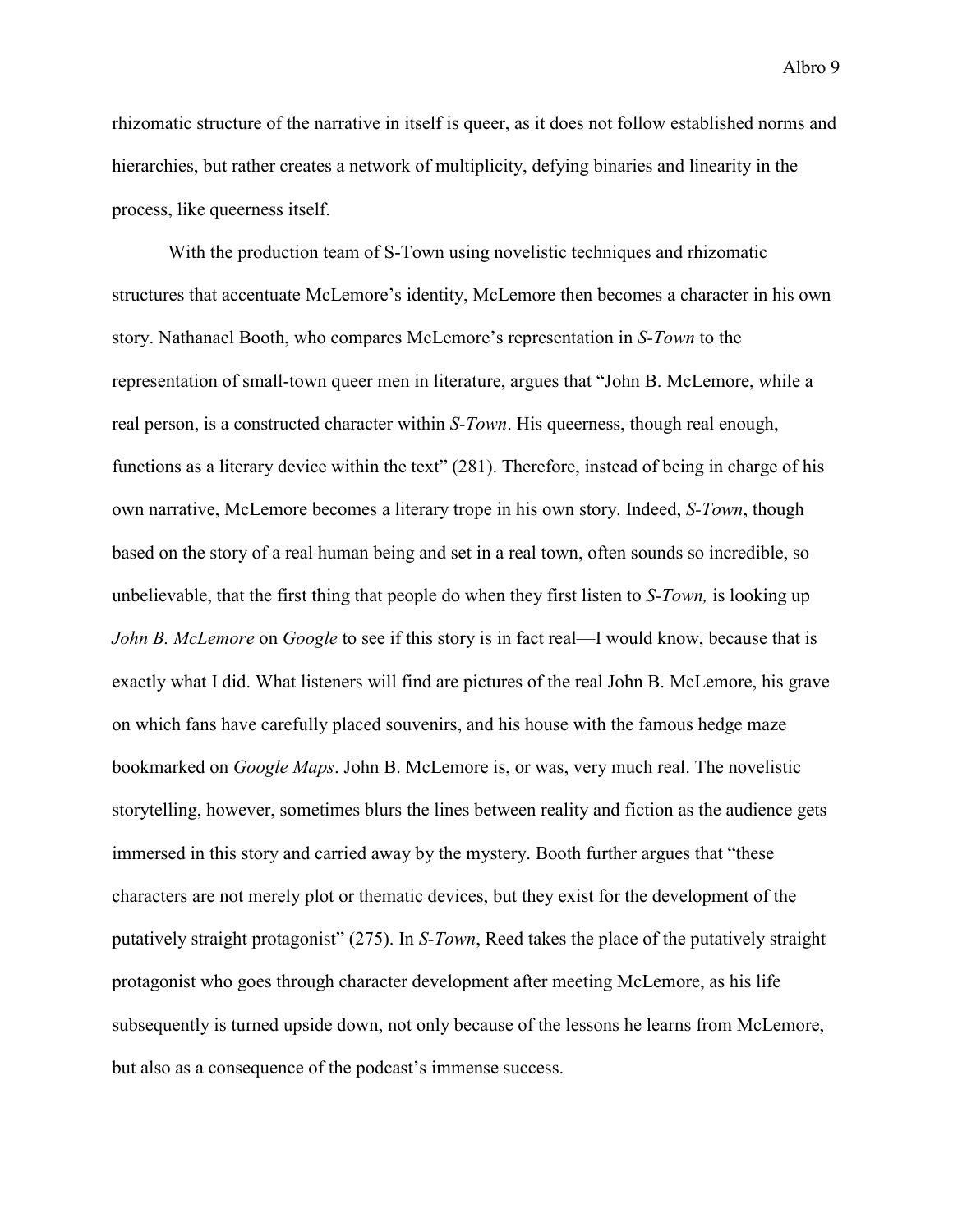rhizomatic structure of the narrative in itself is queer, as it does not follow established norms and hierarchies, but rather creates a network of multiplicity, defying binaries and linearity in the process, like queerness itself.

With the production team of S-Town using novelistic techniques and rhizomatic structures that accentuate McLemore's identity, McLemore then becomes a character in his own story. Nathanael Booth, who compares McLemore's representation in *S-Town* to the representation of small-town queer men in literature, argues that "John B. McLemore, while a real person, is a constructed character within *S-Town*. His queerness, though real enough, functions as a literary device within the text" (281). Therefore, instead of being in charge of his own narrative, McLemore becomes a literary trope in his own story. Indeed, *S-Town*, though based on the story of a real human being and set in a real town, often sounds so incredible, so unbelievable, that the first thing that people do when they first listen to *S-Town,* is looking up *John B. McLemore* on *Google* to see if this story is in fact real—I would know, because that is exactly what I did. What listeners will find are pictures of the real John B. McLemore, his grave on which fans have carefully placed souvenirs, and his house with the famous hedge maze bookmarked on *Google Maps*. John B. McLemore is, or was, very much real. The novelistic storytelling, however, sometimes blurs the lines between reality and fiction as the audience gets immersed in this story and carried away by the mystery. Booth further argues that "these characters are not merely plot or thematic devices, but they exist for the development of the putatively straight protagonist" (275). In *S-Town*, Reed takes the place of the putatively straight protagonist who goes through character development after meeting McLemore, as his life subsequently is turned upside down, not only because of the lessons he learns from McLemore, but also as a consequence of the podcast's immense success.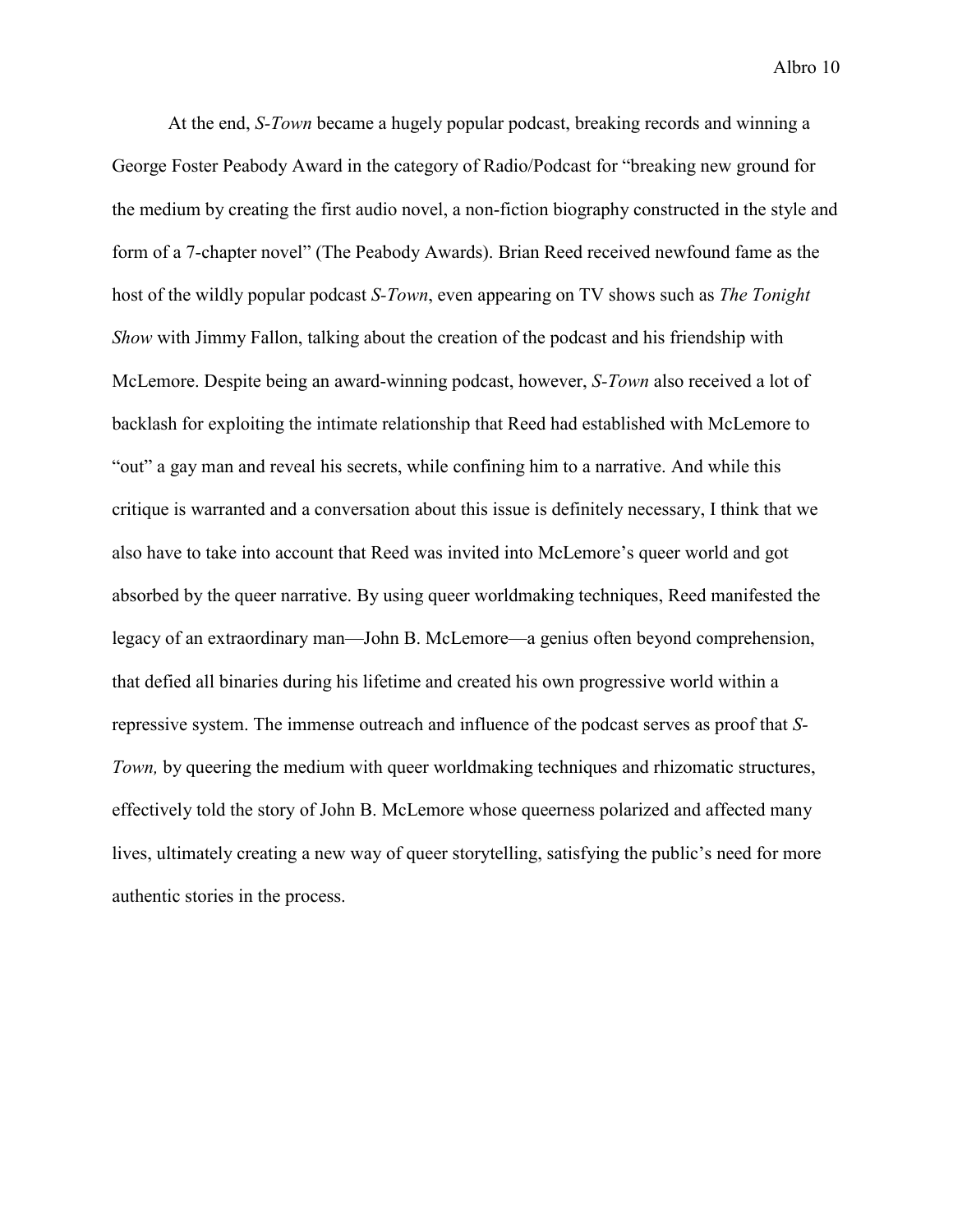At the end, *S-Town* became a hugely popular podcast, breaking records and winning a George Foster Peabody Award in the category of Radio/Podcast for "breaking new ground for the medium by creating the first audio novel, a non-fiction biography constructed in the style and form of a 7-chapter novel" (The Peabody Awards). Brian Reed received newfound fame as the host of the wildly popular podcast *S-Town*, even appearing on TV shows such as *The Tonight Show* with Jimmy Fallon, talking about the creation of the podcast and his friendship with McLemore. Despite being an award-winning podcast, however, *S-Town* also received a lot of backlash for exploiting the intimate relationship that Reed had established with McLemore to "out" a gay man and reveal his secrets, while confining him to a narrative. And while this critique is warranted and a conversation about this issue is definitely necessary, I think that we also have to take into account that Reed was invited into McLemore's queer world and got absorbed by the queer narrative. By using queer worldmaking techniques, Reed manifested the legacy of an extraordinary man—John B. McLemore—a genius often beyond comprehension, that defied all binaries during his lifetime and created his own progressive world within a repressive system. The immense outreach and influence of the podcast serves as proof that *S-Town,* by queering the medium with queer worldmaking techniques and rhizomatic structures, effectively told the story of John B. McLemore whose queerness polarized and affected many lives, ultimately creating a new way of queer storytelling, satisfying the public's need for more authentic stories in the process.